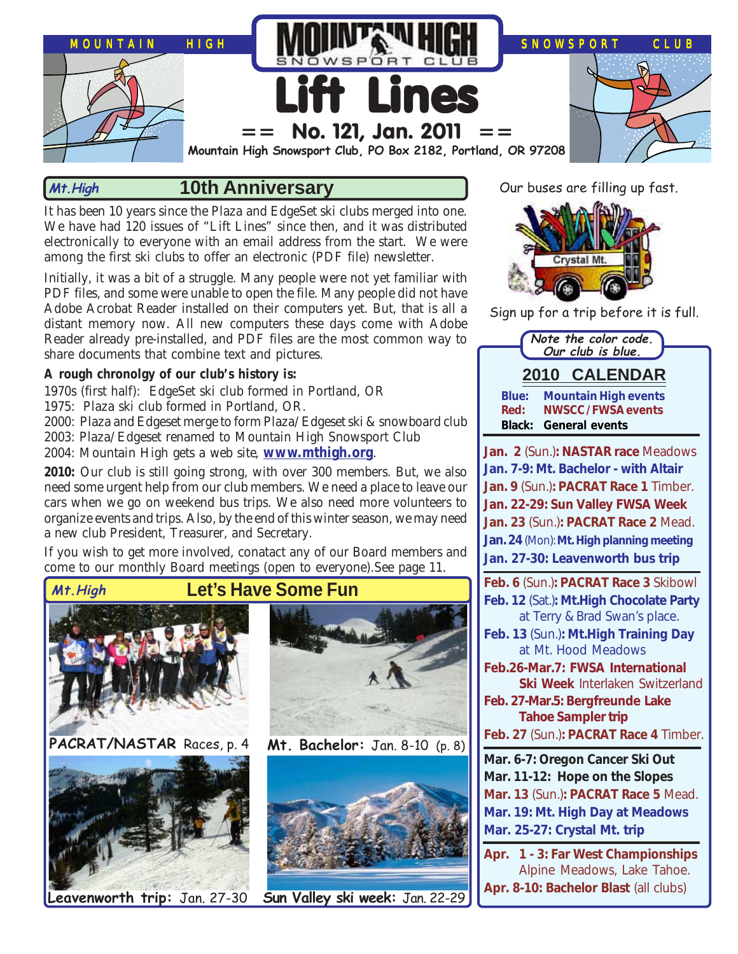

#### **10th Anniversary Mt.High**

It has been 10 years since the Plaza and EdgeSet ski clubs merged into one. We have had 120 issues of "Lift Lines" since then, and it was distributed electronically to everyone with an email address from the start. We were among the first ski clubs to offer an electronic (PDF file) newsletter.

Initially, it was a bit of a struggle. Many people were not yet familiar with PDF files, and some were unable to open the file. Many people did not have Adobe Acrobat Reader installed on their computers yet. But, that is all a distant memory now. All new computers these days come with Adobe Reader already pre-installed, and PDF files are the most common way to share documents that combine text and pictures.

#### **A rough chronolgy of our club's history is:**

1970s (first half): EdgeSet ski club formed in Portland, OR

1975: Plaza ski club formed in Portland, OR.

2000: Plaza and Edgeset merge to form Plaza/Edgeset ski & snowboard club

2003: Plaza/Edgeset renamed to Mountain High Snowsport Club

2004: Mountain High gets a web site, **[www.mthigh.org](http://www.mthigh.org/)**.

**2010:** Our club is still going strong, with over 300 members. But, we also need some urgent help from our club members. We need a place to leave our cars when we go on weekend bus trips. We also need more volunteers to organize events and trips. Also, by the end of this winter season, we may need a new club President, Treasurer, and Secretary.

If you wish to get more involved, conatact any of our Board members and come to our monthly Board meetings (open to everyone).See page 11.



**PACRAT/NASTAR** Races, p. 4 **Mt. Bachelor:** Jan. 8-10 (p. 8)







**Leavenworth trip:** Jan. 27-30 **Sun Valley ski week:** Jan. 22-29

Our buses are filling up fast.



Sign up for a trip before it is full.

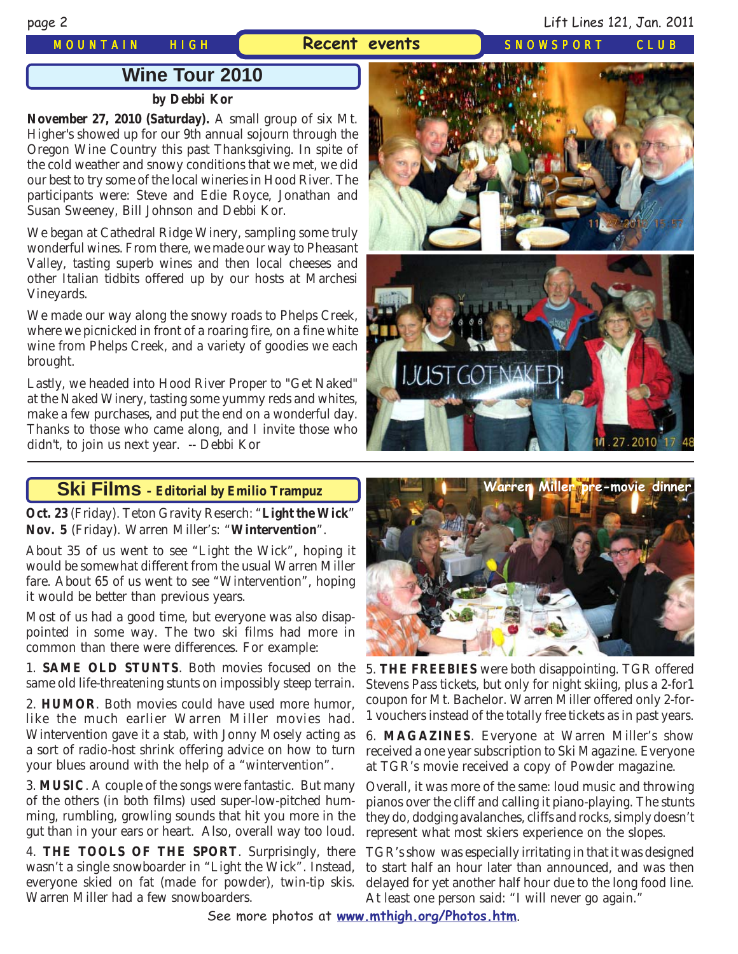#### *MOUNTAIN HIGH* **Recent events** *SNOWSPORT CLUB*

page 2 Lift Lines 121, Jan. 2011

## **Wine Tour 2010**

#### **by Debbi Kor**

**November 27, 2010 (Saturday).** A small group of six Mt. Higher's showed up for our 9th annual sojourn through the Oregon Wine Country this past Thanksgiving. In spite of the cold weather and snowy conditions that we met, we did our best to try some of the local wineries in Hood River. The participants were: Steve and Edie Royce, Jonathan and Susan Sweeney, Bill Johnson and Debbi Kor.

We began at Cathedral Ridge Winery, sampling some truly wonderful wines. From there, we made our way to Pheasant Valley, tasting superb wines and then local cheeses and other Italian tidbits offered up by our hosts at Marchesi Vineyards.

We made our way along the snowy roads to Phelps Creek, where we picnicked in front of a roaring fire, on a fine white wine from Phelps Creek, and a variety of goodies we each brought.

Lastly, we headed into Hood River Proper to "Get Naked" at the Naked Winery, tasting some yummy reds and whites, make a few purchases, and put the end on a wonderful day. Thanks to those who came along, and I invite those who didn't, to join us next year. -- Debbi Kor

#### **Ski Films - Editorial by Emilio Trampuz**

**Oct. 23** (Friday). Teton Gravity Reserch: "**Light the Wick**" **Nov. 5** (Friday). Warren Miller's: "**Wintervention**".

About 35 of us went to see "Light the Wick", hoping it would be somewhat different from the usual Warren Miller fare. About 65 of us went to see "Wintervention", hoping it would be better than previous years.

Most of us had a good time, but everyone was also disappointed in some way. The two ski films had more in common than there were differences. For example:

1. **SAME OLD STUNTS**. Both movies focused on the same old life-threatening stunts on impossibly steep terrain.

2. **HUMOR**. Both movies could have used more humor, like the much earlier Warren Miller movies had. Wintervention gave it a stab, with Jonny Mosely acting as a sort of radio-host shrink offering advice on how to turn your blues around with the help of a "wintervention".

3. **MUSIC**. A couple of the songs were fantastic. But many of the others (in both films) used super-low-pitched humming, rumbling, growling sounds that hit you more in the gut than in your ears or heart. Also, overall way too loud.

4. **THE TOOLS OF THE SPORT**. Surprisingly, there wasn't a single snowboarder in "Light the Wick". Instead, everyone skied on fat (made for powder), twin-tip skis. Warren Miller had a few snowboarders.







5. **THE FREEBIES** were both disappointing. TGR offered Stevens Pass tickets, but only for night skiing, plus a 2-for1 coupon for Mt. Bachelor. Warren Miller offered only 2-for-1 vouchers instead of the totally free tickets as in past years.

6. **MAGAZINES**. Everyone at Warren Miller's show received a one year subscription to Ski Magazine. Everyone at TGR's movie received a copy of Powder magazine.

Overall, it was more of the same: loud music and throwing pianos over the cliff and calling it piano-playing. The stunts they do, dodging avalanches, cliffs and rocks, simply doesn't represent what most skiers experience on the slopes.

TGR's show was especially irritating in that it was designed to start half an hour later than announced, and was then delayed for yet another half hour due to the long food line. At least one person said: "I will never go again."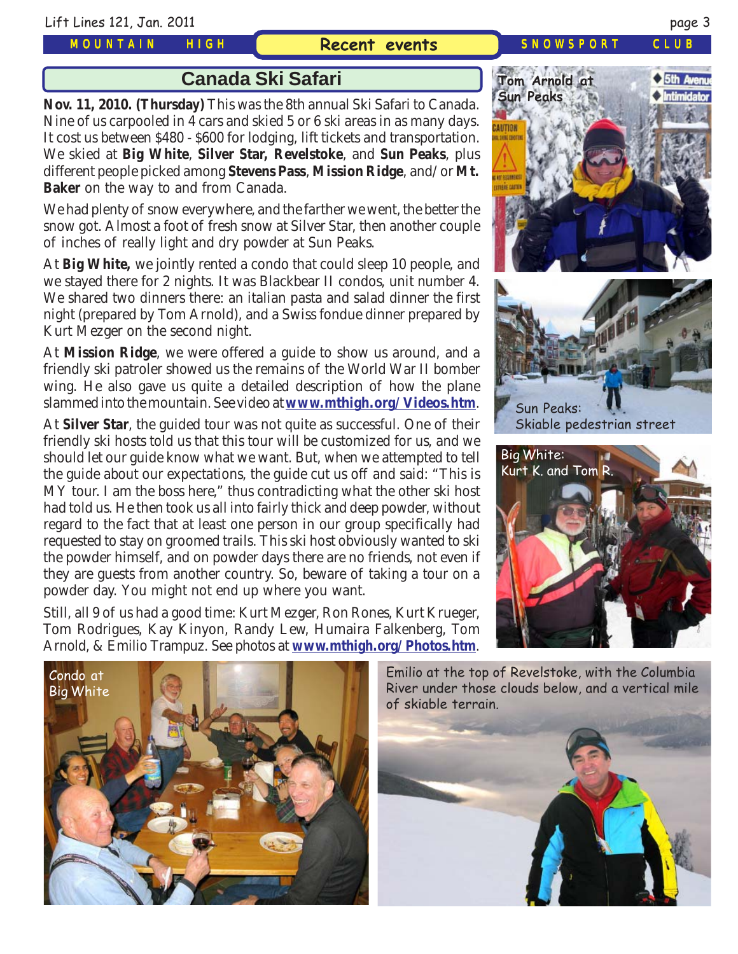Lift Lines 121, Jan. 2011 page 3

#### *MOUNTAIN HIGH*

#### **Recent events** *SNOWSPORT CLUB*

**Canada Ski Safari**

**Nov. 11, 2010. (Thursday)** This was the 8th annual Ski Safari to Canada. Nine of us carpooled in 4 cars and skied 5 or 6 ski areas in as many days. It cost us between \$480 - \$600 for lodging, lift tickets and transportation. We skied at **Big White**, **Silver Star, Revelstoke**, and **Sun Peaks**, plus different people picked among **Stevens Pass**, **Mission Ridge**, and/or **Mt. Baker** on the way to and from Canada.

We had plenty of snow everywhere, and the farther we went, the better the snow got. Almost a foot of fresh snow at Silver Star, then another couple of inches of really light and dry powder at Sun Peaks.

At **Big White,** we jointly rented a condo that could sleep 10 people, and we stayed there for 2 nights. It was Blackbear II condos, unit number 4. We shared two dinners there: an italian pasta and salad dinner the first night (prepared by Tom Arnold), and a Swiss fondue dinner prepared by Kurt Mezger on the second night.

At **Mission Ridge**, we were offered a guide to show us around, and a friendly ski patroler showed us the remains of the World War II bomber wing. He also gave us quite a detailed description of how the plane slammed into the mountain. See video at **[www.mthigh.org/Videos.htm](http://www.mthigh.org/Videos.htm)**.

At **Silver Star**, the guided tour was not quite as successful. One of their friendly ski hosts told us that this tour will be customized for us, and we should let our guide know what we want. But, when we attempted to tell the guide about our expectations, the guide cut us off and said: "This is MY tour. I am the boss here," thus contradicting what the other ski host had told us. He then took us all into fairly thick and deep powder, without regard to the fact that at least one person in our group specifically had requested to stay on groomed trails. This ski host obviously wanted to ski the powder himself, and on powder days there are no friends, not even if they are guests from another country. So, beware of taking a tour on a powder day. You might not end up where you want.

Still, all 9 of us had a good time: Kurt Mezger, Ron Rones, Kurt Krueger, Tom Rodrigues, Kay Kinyon, Randy Lew, Humaira Falkenberg, Tom Arnold, & Emilio Trampuz. See photos at **[www.mthigh.org/Photos.htm](http://www.mthigh.org/Photos.htm)**.





Skiable pedestrian street





Emilio at the top of Revelstoke, with the Columbia River under those clouds below, and a vertical mile of skiable terrain.

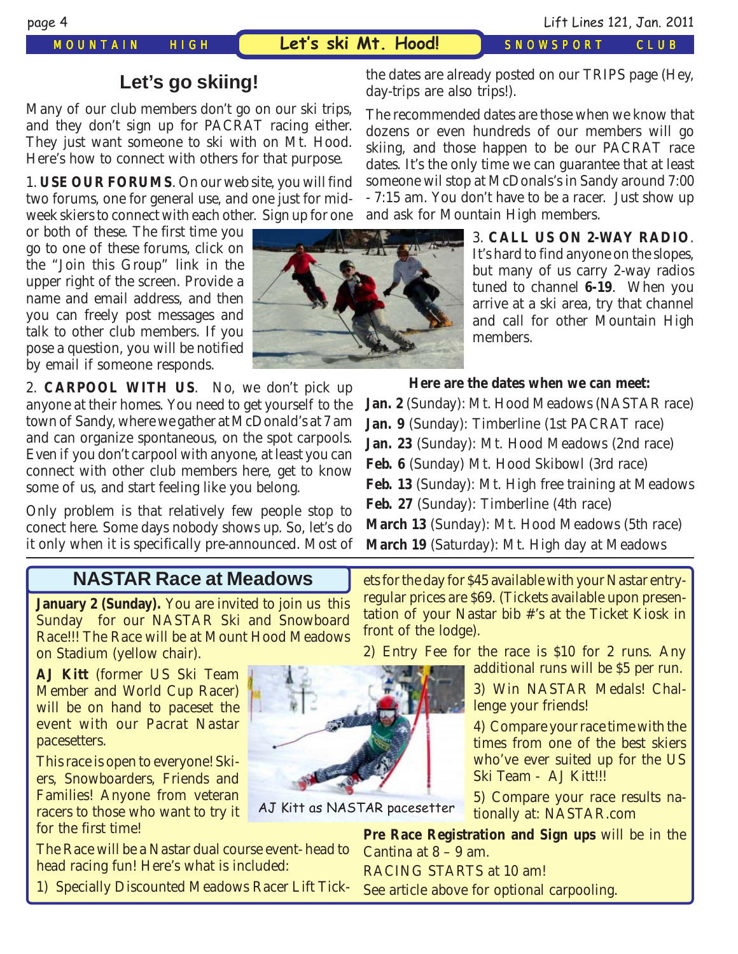*MOUNTAIN HIGH* **Let's ski Mt. Hood!** *SNOWSPORT CLUB*

## **Let's go skiing!**

Many of our club members don't go on our ski trips, and they don't sign up for PACRAT racing either. They just want someone to ski with on Mt. Hood. Here's how to connect with others for that purpose.

1. **USE OUR FORUMS**. On our web site, you will find two forums, one for general use, and one just for midweek skiers to connect with each other. Sign up for one

or both of these. The first time you go to one of these forums, click on the "Join this Group" link in the upper right of the screen. Provide a name and email address, and then you can freely post messages and talk to other club members. If you pose a question, you will be notified by email if someone responds.

2. **CARPOOL WITH US**. No, we don't pick up anyone at their homes. You need to get yourself to the town of Sandy, where we gather at McDonald's at 7 am and can organize spontaneous, on the spot carpools. Even if you don't carpool with anyone, at least you can connect with other club members here, get to know some of us, and start feeling like you belong.

Only problem is that relatively few people stop to conect here. Some days nobody shows up. So, let's do it only when it is specifically pre-announced. Most of

### **NASTAR Race at Meadows**

**January 2 (Sunday).** You are invited to join us this Sunday for our NASTAR Ski and Snowboard Race!!! The Race will be at Mount Hood Meadows on Stadium (yellow chair).

**AJ Kitt** (former US Ski Team Member and World Cup Racer) will be on hand to paceset the event with our Pacrat Nastar pacesetters.

This race is open to everyone! Skiers, Snowboarders, Friends and Families! Anyone from veteran racers to those who want to try it for the first time!

The Race will be a Nastar dual course event- head to head racing fun! Here's what is included:

1) Specially Discounted Meadows Racer Lift Tick-

- 7:15 am. You don't have to be a racer. Just show up and ask for Mountain High members. 3. **CALL US ON 2-WAY RADIO**. It's hard to find anyone on the slopes,

the dates are already posted on our TRIPS page (Hey,

The recommended dates are those when we know that dozens or even hundreds of our members will go skiing, and those happen to be our PACRAT race dates. It's the only time we can guarantee that at least someone wil stop at McDonals's in Sandy around 7:00

day-trips are also trips!).

but many of us carry 2-way radios tuned to channel **6-19**. When you arrive at a ski area, try that channel and call for other Mountain High members.

#### **Here are the dates when we can meet:**

**Jan. 2** (Sunday): Mt. Hood Meadows (NASTAR race) **Jan. 9** (Sunday): Timberline (1st PACRAT race) **Jan. 23** (Sunday): Mt. Hood Meadows (2nd race) **Feb. 6** (Sunday) Mt. Hood Skibowl (3rd race) **Feb. 13** (Sunday): Mt. High free training at Meadows **Feb. 27** (Sunday): Timberline (4th race) **March 13** (Sunday): Mt. Hood Meadows (5th race) **March 19** (Saturday): Mt. High day at Meadows

ets for the day for \$45 available with your Nastar entryregular prices are \$69. (Tickets available upon presentation of your Nastar bib #'s at the Ticket Kiosk in front of the lodge).

2) Entry Fee for the race is \$10 for 2 runs. Any additional runs will be \$5 per run.

> 3) Win NASTAR Medals! Challenge your friends!

> 4) Compare your race time with the times from one of the best skiers who've ever suited up for the US Ski Team - AJ Kitt!!!

> 5) Compare your race results nationally at: NASTAR.com

**Pre Race Registration and Sign ups** will be in the Cantina at 8 – 9 am. RACING STARTS at 10 am!

See article above for optional carpooling.



AJ Kitt as NASTAR pacesetter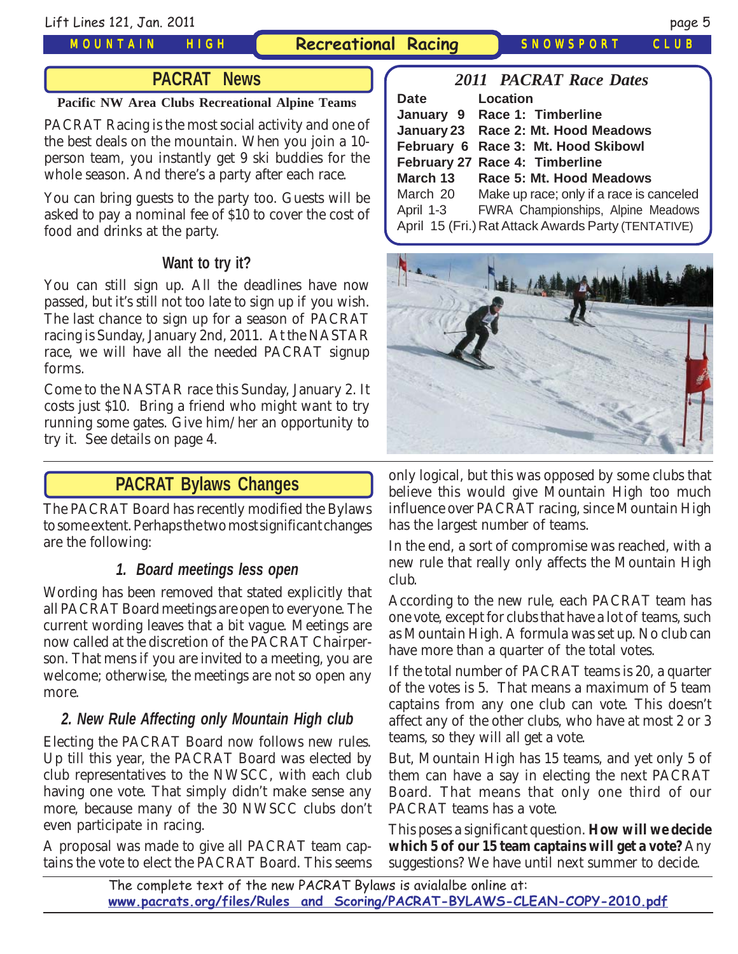#### *MOUNTAIN HIGH*

**Recreational Racing** *SNOWSPORT CLUB*

### **PACRAT News**

#### **Pacific NW Area Clubs Recreational Alpine Teams**

PACRAT Racing is the most social activity and one of the best deals on the mountain. When you join a 10 person team, you instantly get 9 ski buddies for the whole season. And there's a party after each race.

You can bring guests to the party too. Guests will be asked to pay a nominal fee of \$10 to cover the cost of food and drinks at the party.

### **Want to try it?**

You can still sign up. All the deadlines have now passed, but it's still not too late to sign up if you wish. The last chance to sign up for a season of PACRAT racing is Sunday, January 2nd, 2011. At the NASTAR race, we will have all the needed PACRAT signup forms.

Come to the NASTAR race this Sunday, January 2. It costs just \$10. Bring a friend who might want to try running some gates. Give him/her an opportunity to try it. See details on page 4.

## **PACRAT Bylaws Changes**

The PACRAT Board has recently modified the Bylaws to some extent. Perhaps the two most significant changes are the following:

#### **1. Board meetings less open**

Wording has been removed that stated explicitly that all PACRAT Board meetings are open to everyone. The current wording leaves that a bit vague. Meetings are now called at the discretion of the PACRAT Chairperson. That mens if you are invited to a meeting, you are welcome; otherwise, the meetings are not so open any more.

### **2. New Rule Affecting only Mountain High club**

Electing the PACRAT Board now follows new rules. Up till this year, the PACRAT Board was elected by club representatives to the NWSCC, with each club having one vote. That simply didn't make sense any more, because many of the 30 NWSCC clubs don't even participate in racing.

A proposal was made to give all PACRAT team captains the vote to elect the PACRAT Board. This seems

| <b>2011 PACRAT Race Dates</b>                       |  |  |  |  |  |  |
|-----------------------------------------------------|--|--|--|--|--|--|
| Location                                            |  |  |  |  |  |  |
| January 9 Race 1: Timberline                        |  |  |  |  |  |  |
| January 23 Race 2: Mt. Hood Meadows                 |  |  |  |  |  |  |
| February 6 Race 3: Mt. Hood Skibowl                 |  |  |  |  |  |  |
| February 27 Race 4: Timberline                      |  |  |  |  |  |  |
| Race 5: Mt. Hood Meadows                            |  |  |  |  |  |  |
| Make up race; only if a race is canceled            |  |  |  |  |  |  |
| April 1-3 FWRA Championships, Alpine Meadows        |  |  |  |  |  |  |
| April 15 (Fri.) Rat Attack Awards Party (TENTATIVE) |  |  |  |  |  |  |
|                                                     |  |  |  |  |  |  |



only logical, but this was opposed by some clubs that believe this would give Mountain High too much influence over PACRAT racing, since Mountain High has the largest number of teams.

In the end, a sort of compromise was reached, with a new rule that really only affects the Mountain High club.

According to the new rule, each PACRAT team has one vote, except for clubs that have a lot of teams, such as Mountain High. A formula was set up. No club can have more than a quarter of the total votes.

If the total number of PACRAT teams is 20, a quarter of the votes is 5. That means a maximum of 5 team captains from any one club can vote. This doesn't affect any of the other clubs, who have at most 2 or 3 teams, so they will all get a vote.

But, Mountain High has 15 teams, and yet only 5 of them can have a say in electing the next PACRAT Board. That means that only one third of our PACRAT teams has a vote.

This poses a significant question. **How will we decide which 5 of our 15 team captains will get a vote?** Any suggestions? We have until next summer to decide.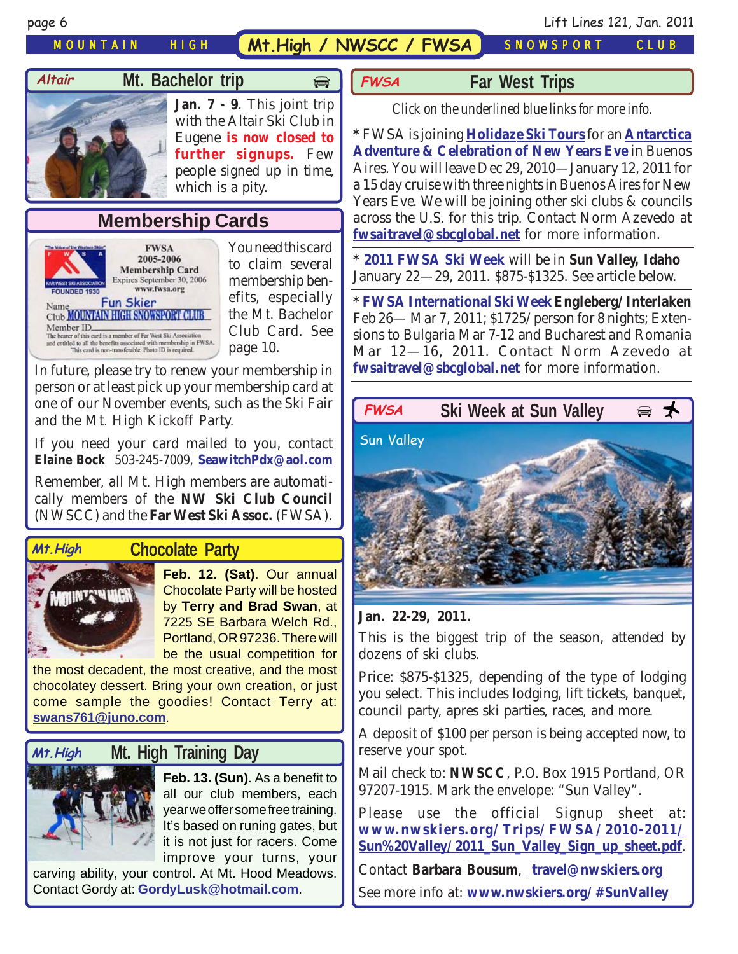# *MOUNTAIN HIGH* **Mt.High / NWSCC / FWSA** *SNOWSPORT CLUB*

**FWSA**

# **Mt. Bachelor trip**  $\Rightarrow$



#### **Jan. 7 - 9**. This joint trip with the Altair Ski Club in Eugene **is now closed to further signups.** Few people signed up in time, which is a pity.

# **Membership Cards**



You need this card to claim several membership benefits, especially the Mt. Bachelor Club Card. See page 10.

In future, please try to renew your membership in person or at least pick up your membership card at one of our November events, such as the Ski Fair and the Mt. High Kickoff Party.

If you need your card mailed to you, contact **Elaine Bock** 503-245-7009, **[SeawitchPdx@aol.com](mailto:seawitchpdx@aol.com)**

Remember, all Mt. High members are automatically members of the **NW Ski Club Council** (NWSCC) and the **Far West Ski Assoc.** (FWSA).

#### **Mt.High**

#### **Chocolate Party**



**Feb. 12. (Sat)**. Our annual Chocolate Party will be hosted by **Terry and Brad Swan**, at 7225 SE Barbara Welch Rd., Portland, OR 97236. There will be the usual competition for

the most decadent, the most creative, and the most chocolatey dessert. Bring your own creation, or just come sample the goodies! Contact Terry at: **[swans761@juno.com](mailto:swans761@juno.com)**.

#### **Mt. High Training Day Mt.High**



**Feb. 13. (Sun)**. As a benefit to all our club members, each year we offer some free training. It's based on runing gates, but it is not just for racers. Come improve your turns, your

carving ability, your control. At Mt. Hood Meadows. Contact Gordy at: **[GordyLusk@hotmail.com](mailto:gordylusk@hotmail.com)**.

#### **Far West Trips**

*Click on the underlined blue links for more info.*

**\*** FWSA is joining **[Holidaze Ski Tours](http://www.holidaze.com/cgi-bin/index.cgi?current=4&subcurrent=4&site=holidaze)** for an **[Antarctica](http://www.fwsa.org/Travel/2010_Travel/Antarctica%20flier%209-1.pdf) [Adventure & Celebration of New Years Eve](http://www.fwsa.org/Travel/2010_Travel/Antarctica%20flier%209-1.pdf)** in Buenos Aires. You will leave Dec 29, 2010—January 12, 2011 for a 15 day cruise with three nights in Buenos Aires for New Years Eve. We will be joining other ski clubs & councils across the U.S. for this trip. Contact Norm Azevedo at **[fwsaitravel@sbcglobal.net](mailto:fwsatravel@sbcglobal.net)** for more information.

**\* [2011 FWSA Ski Week](http://www.fwsa.org/Travel/2010_Travel/Sun%20Valley%20Flyer.pdf)** will be in **Sun Valley, Idaho** January 22—29, 2011. \$875-\$1325. See article below.

**\* [FWSA International Ski Week](http://www.fwsa.org/Travel/2011_Travel/Swiss%20flier%20D.pdf)Engleberg/Interlaken** Feb 26— Mar 7, 2011; \$1725/person for 8 nights; Extensions to Bulgaria Mar 7-12 and Bucharest and Romania Mar 12—16, 2011. Contact Norm Azevedo at **[fwsaitravel@sbcglobal.net](mailto:fwsatravel@sbcglobal.net)** for more information.



#### **Jan. 22-29, 2011.**

This is the biggest trip of the season, attended by dozens of ski clubs.

Price: \$875-\$1325, depending of the type of lodging you select. This includes lodging, lift tickets, banquet, council party, apres ski parties, races, and more.

A deposit of \$100 per person is being accepted now, to reserve your spot.

Mail check to: **NWSCC**, P.O. Box 1915 Portland, OR 97207-1915. Mark the envelope: "Sun Valley".

Please use the official Signup sheet at: **[www.nwskiers.org/Trips/FWSA/2010-2011/](http://www.nwskiers.org/Trips/FWSA/2010-2011/Sun%20Valley/2011_Sun_Valley_Sign_up_sheet.pdf) [Sun%20Valley/2011\\_Sun\\_Valley\\_Sign\\_up\\_sheet.pdf](http://www.nwskiers.org/Trips/FWSA/2010-2011/Sun%20Valley/2011_Sun_Valley_Sign_up_sheet.pdf)**.

Contact **Barbara Bousum**, **[travel@nwskiers.org](mailto:travel@nwskiers.org)**

See more info at: **[www.nwskiers.org/#SunValley](http://www.nwskiers.org/#SunValley)**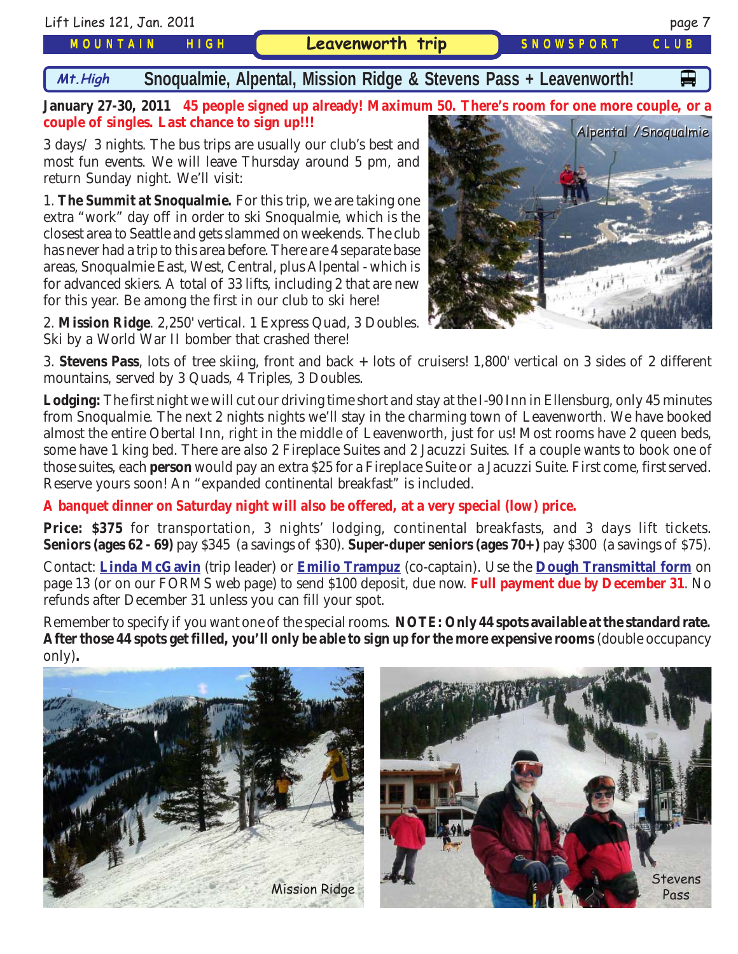

extra "work" day off in order to ski Snoqualmie, which is the closest area to Seattle and gets slammed on weekends. The club has never had a trip to this area before. There are 4 separate base areas, Snoqualmie East, West, Central, plus Alpental - which is for advanced skiers. A total of 33 lifts, including 2 that are new for this year. Be among the first in our club to ski here!

2. **Mission Ridge**. 2,250' vertical. 1 Express Quad, 3 Doubles. Ski by a World War II bomber that crashed there!

3. **Stevens Pass**, lots of tree skiing, front and back + lots of cruisers! 1,800' vertical on 3 sides of 2 different mountains, served by 3 Quads, 4 Triples, 3 Doubles.

**Lodging:** The first night we will cut our driving time short and stay at the I-90 Inn in Ellensburg, only 45 minutes from Snoqualmie. The next 2 nights nights we'll stay in the charming town of Leavenworth. We have booked almost the entire Obertal Inn, right in the middle of Leavenworth, just for us! Most rooms have 2 queen beds, some have 1 king bed. There are also 2 Fireplace Suites and 2 Jacuzzi Suites. If a couple wants to book one of those suites, each **person** would pay an extra \$25 for a Fireplace Suite or a Jacuzzi Suite. First come, first served. Reserve yours soon! An "expanded continental breakfast" is included.

**A banquet dinner on Saturday night will also be offered, at a very special (low) price.**

**Price: \$375** for transportation, 3 nights' lodging, continental breakfasts, and 3 days lift tickets. **Seniors (ages 62 - 69)** pay \$345 (a savings of \$30). **Super-duper seniors (ages 70+)** pay \$300 (a savings of \$75).

Contact: **[Linda McGavin](mailto:Trips@mthigh.org)** (trip leader) or **[Emilio Trampuz](mailto:Emilio2000@earthlink.net)** (co-captain). Use the **[Dough Transmittal form](http://www.mthigh.org/Documents/MembershipSignupForm.pdf)** on page 13 (or on our FORMS web page) to send \$100 deposit, due now. **Full payment due by December 31**. No refunds after December 31 unless you can fill your spot.

Remember to specify if you want one of the special rooms. **NOTE: Only 44 spots available at the standard rate. After those 44 spots get filled, you'll only be able to sign up for the more expensive rooms** (double occupancy only)**.**



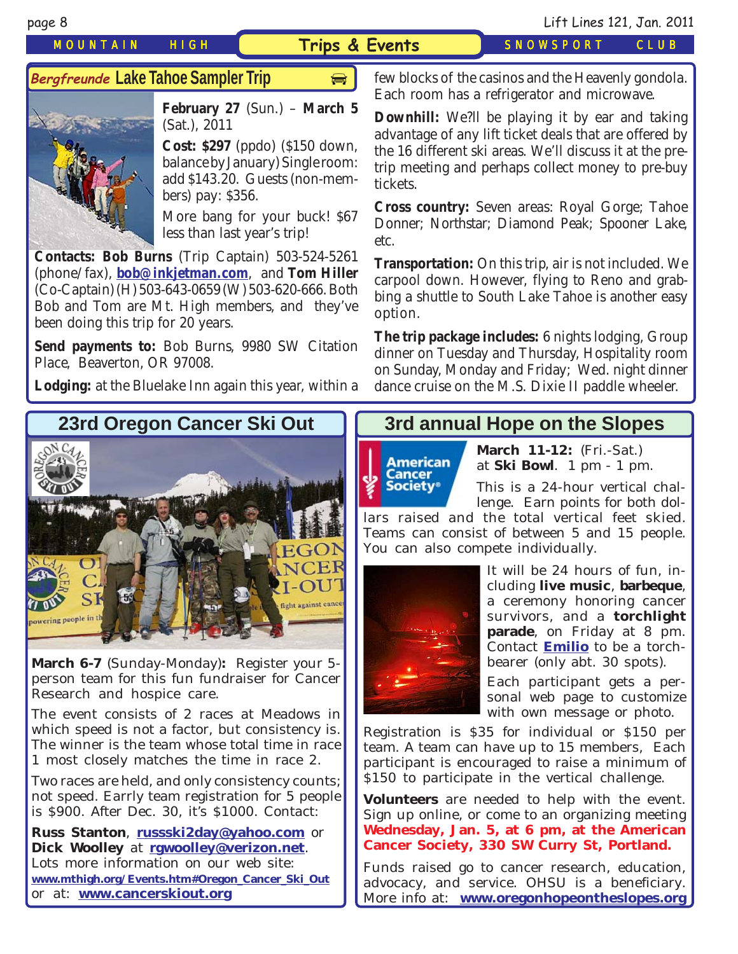#### *MOUNTAIN HIGH* **Trips & Events** *SNOWSPORT CLUB*

page 8 Lift Lines 121, Jan. 2011

### **Bergfreunde Lake Tahoe Sampler Trip**



**February 27** (Sun.) – **March 5** (Sat.), 2011

**Cost: \$297** (ppdo) (\$150 down, balance by January) Single room: add \$143.20. Guests (non-members) pay: \$356.

More bang for your buck! \$67 less than last year's trip!

**Contacts: Bob Burns** (Trip Captain) 503-524-5261 (phone/fax), **[bob@inkjetman.com](mailto:bob@inkjetman.com)**, and **Tom Hiller** (Co-Captain) (H) 503-643-0659 (W) 503-620-666. Both Bob and Tom are Mt. High members, and they've been doing this trip for 20 years.

**Send payments to:** Bob Burns, 9980 SW Citation Place, Beaverton, OR 97008.

**Lodging:** at the Bluelake Inn again this year, within a

**Lacker Trippiler Trippiler Sampler Trippiler Sampler Trippiler** few blocks of the casinos and the Heavenly gondola. Each room has a refrigerator and microwave.

> **Downhill:** We?ll be playing it by ear and taking advantage of any lift ticket deals that are offered by the 16 different ski areas. We'll discuss it at the pretrip meeting and perhaps collect money to pre-buy tickets.

> **Cross country:** Seven areas: Royal Gorge; Tahoe Donner; Northstar; Diamond Peak; Spooner Lake, etc.

> **Transportation:** On this trip, air is not included. We carpool down. However, flying to Reno and grabbing a shuttle to South Lake Tahoe is another easy option.

> **The trip package includes:** 6 nights lodging, Group dinner on Tuesday and Thursday, Hospitality room on Sunday, Monday and Friday; Wed. night dinner dance cruise on the M.S. Dixie II paddle wheeler.



**March 6-7** (Sunday-Monday)**:** Register your 5 person team for this fun fundraiser for Cancer Research and hospice care.

The event consists of 2 races at Meadows in which speed is not a factor, but consistency is. The winner is the team whose total time in race 1 most closely matches the time in race 2.

Two races are held, and only consistency counts; not speed. Earrly team registration for 5 people is \$900. After Dec. 30, it's \$1000. Contact:

**Russ Stanton**, **[russski2day@yahoo.com](mailto:russski2day@yahoo.com)** or **Dick Woolley** at **[rgwoolley@verizon.net](mailto:rgwoolley@verizon.net)**. Lots more information on our web site: **[www.mthigh.org/Events.htm#Oregon\\_Cancer\\_Ski\\_Out](http://www.mthigh.org/Events.htm#Oregon_Cancer_Ski_Out)** or at: **[www.cancerskiout.org](http://www.cancerskiout.org/)**

### **3rd annual Hope on the Slopes**



**March 11-12:** (Fri.-Sat.) at **Ski Bowl**. 1 pm - 1 pm.

This is a 24-hour vertical challenge. Earn points for both dol-

lars raised and the total vertical feet skied. Teams can consist of between 5 and 15 people. You can also compete individually.



It will be 24 hours of fun, including **live music**, **barbeque**, a ceremony honoring cancer survivors, and a **torchlight parade**, on Friday at 8 pm. Contact **[Emilio](mailto:Emilio2000@earthlink.net)** to be a torchbearer (only abt. 30 spots).

Each participant gets a personal web page to customize with own message or photo.

Registration is \$35 for individual or \$150 per team. A team can have up to 15 members, Each participant is encouraged to raise a minimum of \$150 to participate in the vertical challenge.

**Volunteers** are needed to help with the event. Sign up online, or come to an organizing meeting **Wednesday, Jan. 5, at 6 pm, at the American Cancer Society, 330 SW Curry St, Portland.**

Funds raised go to cancer research, education, advocacy, and service. OHSU is a beneficiary. More info at: **[www.oregonhopeontheslopes.org](http://www.oregonhopeontheslopes.org/)**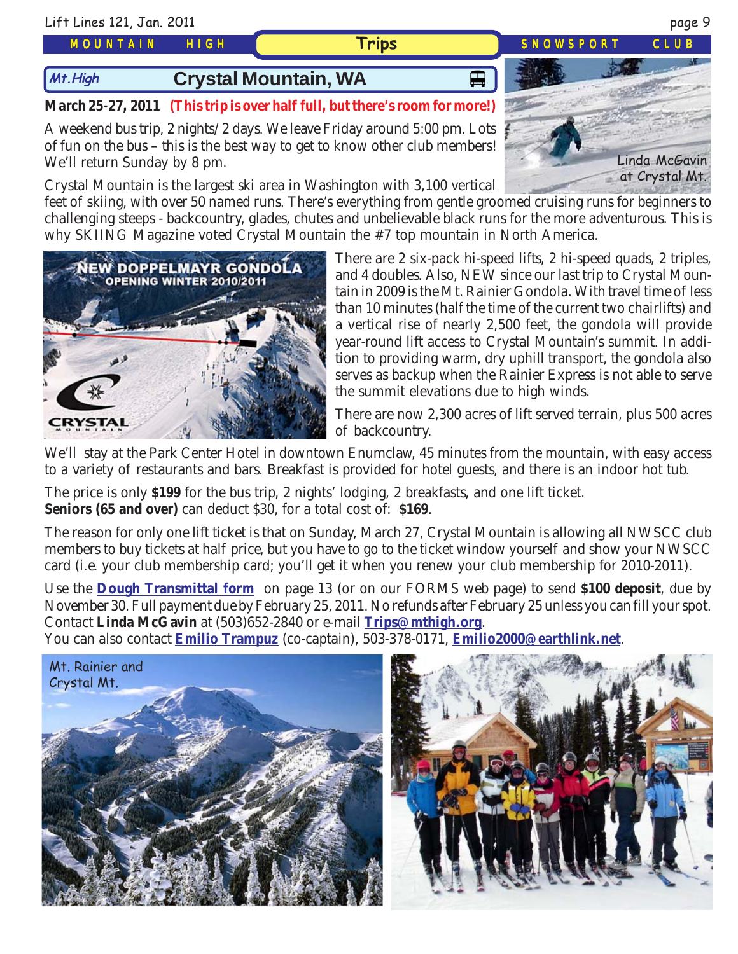#### *MOUNTAIN HIGH*

# **Mt.High Crystal Mountain, WA** 日本

#### **March 25-27, 2011 (This trip is over half full, but there's room for more!)**

A weekend bus trip, 2 nights/2 days. We leave Friday around 5:00 pm. Lots of fun on the bus – this is the best way to get to know other club members! We'll return Sunday by 8 pm.

Crystal Mountain is the largest ski area in Washington with 3,100 vertical

feet of skiing, with over 50 named runs. There's everything from gentle groomed cruising runs for beginners to challenging steeps - backcountry, glades, chutes and unbelievable black runs for the more adventurous. This is why SKIING Magazine voted Crystal Mountain the #7 top mountain in North America.

> There are 2 six-pack hi-speed lifts, 2 hi-speed quads, 2 triples, and 4 doubles. Also, NEW since our last trip to Crystal Mountain in 2009 is the Mt. Rainier Gondola. With travel time of less than 10 minutes (half the time of the current two chairlifts) and a vertical rise of nearly 2,500 feet, the gondola will provide year-round lift access to Crystal Mountain's summit. In addition to providing warm, dry uphill transport, the gondola also serves as backup when the Rainier Express is not able to serve the summit elevations due to high winds.

There are now 2,300 acres of lift served terrain, plus 500 acres of backcountry.

We'll stay at the Park Center Hotel in downtown Enumclaw, 45 minutes from the mountain, with easy access to a variety of restaurants and bars. Breakfast is provided for hotel guests, and there is an indoor hot tub.

The price is only **\$199** for the bus trip, 2 nights' lodging, 2 breakfasts, and one lift ticket. **Seniors (65 and over)** can deduct \$30, for a total cost of: **\$169**.

The reason for only one lift ticket is that on Sunday, March 27, Crystal Mountain is allowing all NWSCC club members to buy tickets at half price, but you have to go to the ticket window yourself and show your NWSCC card (i.e. your club membership card; you'll get it when you renew your club membership for 2010-2011).

Use the **[Dough Transmittal form](http://www.mthigh.org/Documents/MembershipSignupForm.pdf)** on page 13 (or on our FORMS web page) to send **\$100 deposit**, due by November 30. Full payment due by February 25, 2011. No refunds after February 25 unless you can fill your spot. Contact **Linda McGavin** at (503)652-2840 or e-mail **[Trips@mthigh.org](mailto:Trips@mthigh.org)**.

You can also contact **[Emilio Trampuz](mailto:Emilio2000@earthlink.net)** (co-captain), 503-378-0171, **[Emilio2000@earthlink.net](mailto:Emilio2000@earthlink.net)**.



**DOPPELMAYR GONDOLA** 

OPENING WINTER 2010/2011





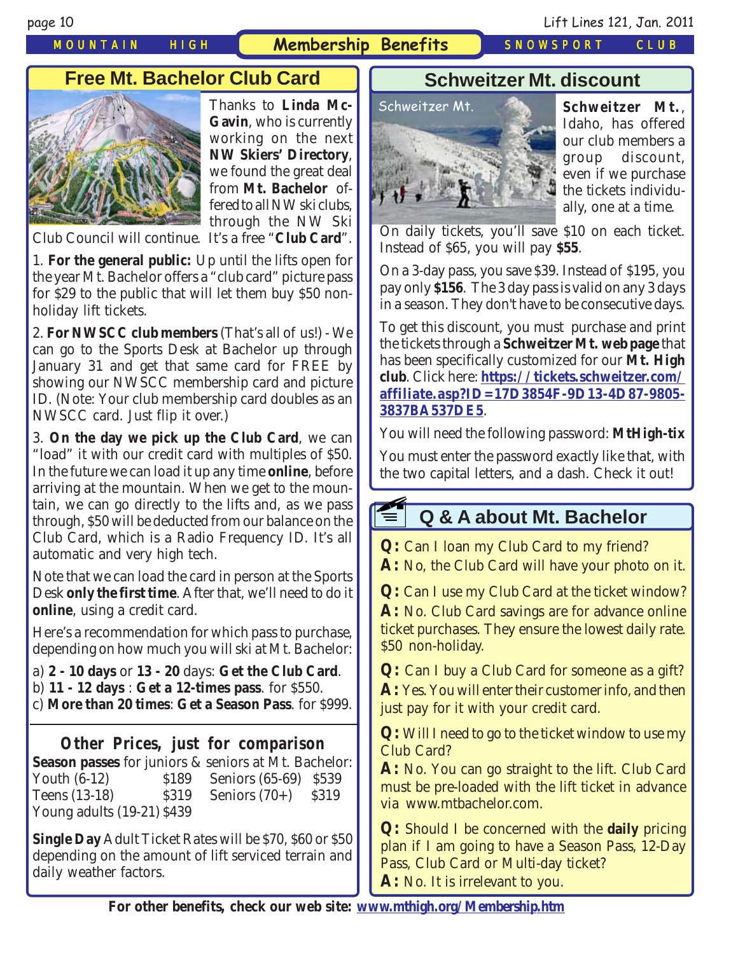*MOUNTAIN HIGH* **Membership Benefits** *SNOWSPORT CLUB*

page 10 Lift Lines 121, Jan. 2011

## **Free Mt. Bachelor Club Card**



Thanks to **Linda Mc-Gavin**, who is currently working on the next **NW Skiers' Directory**, we found the great deal from **Mt. Bachelor** offered to all NW ski clubs, through the NW Ski

Club Council will continue. It's a free "**Club Card**".

1. **For the general public:** Up until the lifts open for the year Mt. Bachelor offers a "club card" picture pass for \$29 to the public that will let them buy \$50 nonholiday lift tickets.

2. **For NWSCC club members** (That's all of us!) - We can go to the Sports Desk at Bachelor up through January 31 and get that same card for FREE by showing our NWSCC membership card and picture ID. (Note: Your club membership card doubles as an NWSCC card. Just flip it over.)

3. **On the day we pick up the Club Card**, we can "load" it with our credit card with multiples of \$50. In the future we can load it up any time **online**, before arriving at the mountain. When we get to the mountain, we can go directly to the lifts and, as we pass through, \$50 will be deducted from our balance on the Club Card, which is a Radio Frequency ID. It's all automatic and very high tech.

Note that we can load the card in person at the Sports Desk **only the first time**. After that, we'll need to do it **online**, using a credit card.

Here's a recommendation for which pass to purchase, depending on how much you will ski at Mt. Bachelor:

- a) **2 10 days** or **13 20** days: **Get the Club Card**. b) **11 - 12 days** : **Get a 12-times pass**. for \$550.
- c) **More than 20 times**: **Get a Season Pass**. for \$999.

### **Other Prices, just for comparison**

**Season passes** for juniors & seniors at Mt. Bachelor: Youth (6-12) \$189 Seniors (65-69) \$539 Teens (13-18) \$319 Seniors (70+) \$319 Young adults (19-21) \$439

**Single Day** Adult Ticket Rates will be \$70, \$60 or \$50 depending on the amount of lift serviced terrain and daily weather factors.

### **Schweitzer Mt. discount**



**Schweitzer Mt.**, Idaho, has offered our club members a group discount, even if we purchase the tickets individually, one at a time.

On daily tickets, you'll save \$10 on each ticket. Instead of \$65, you will pay **\$55**.

On a 3-day pass, you save \$39. Instead of \$195, you pay only **\$156**. The 3 day pass is valid on any 3 days in a season. They don't have to be consecutive days.

To get this discount, you must purchase and print the tickets through a **Schweitzer Mt. web page** that has been specifically customized for our **Mt. High club**. Click here: **[https://tickets.schweitzer.com/](https://tickets.schweitzer.com/affiliate.asp?ID=17D3854F-9D13-4D87-9805-3837BA537DE5) [affiliate.asp?ID=17D3854F-9D13-4D87-9805-](https://tickets.schweitzer.com/affiliate.asp?ID=17D3854F-9D13-4D87-9805-3837BA537DE5) [3837BA537DE5](https://tickets.schweitzer.com/affiliate.asp?ID=17D3854F-9D13-4D87-9805-3837BA537DE5)**.

You will need the following password: **MtHigh-tix**

You must enter the password exactly like that, with the two capital letters, and a dash. Check it out!

### **Q & A about Mt. Bachelor E1**

**Q:** Can I loan my Club Card to my friend?

**A:** No, the Club Card will have your photo on it.

**Q:** Can I use my Club Card at the ticket window? **A:** No. Club Card savings are for advance online ticket purchases. They ensure the lowest daily rate. \$50 non-holiday.

**Q:** Can I buy a Club Card for someone as a gift? **A:** Yes. You will enter their customer info, and then just pay for it with your credit card.

**Q:** Will I need to go to the ticket window to use my Club Card?

**A:** No. You can go straight to the lift. Club Card must be pre-loaded with the lift ticket in advance via www.mtbachelor.com.

**Q:** Should I be concerned with the **daily** pricing plan if I am going to have a Season Pass, 12-Day Pass, Club Card or Multi-day ticket?

**A:** No. It is irrelevant to you.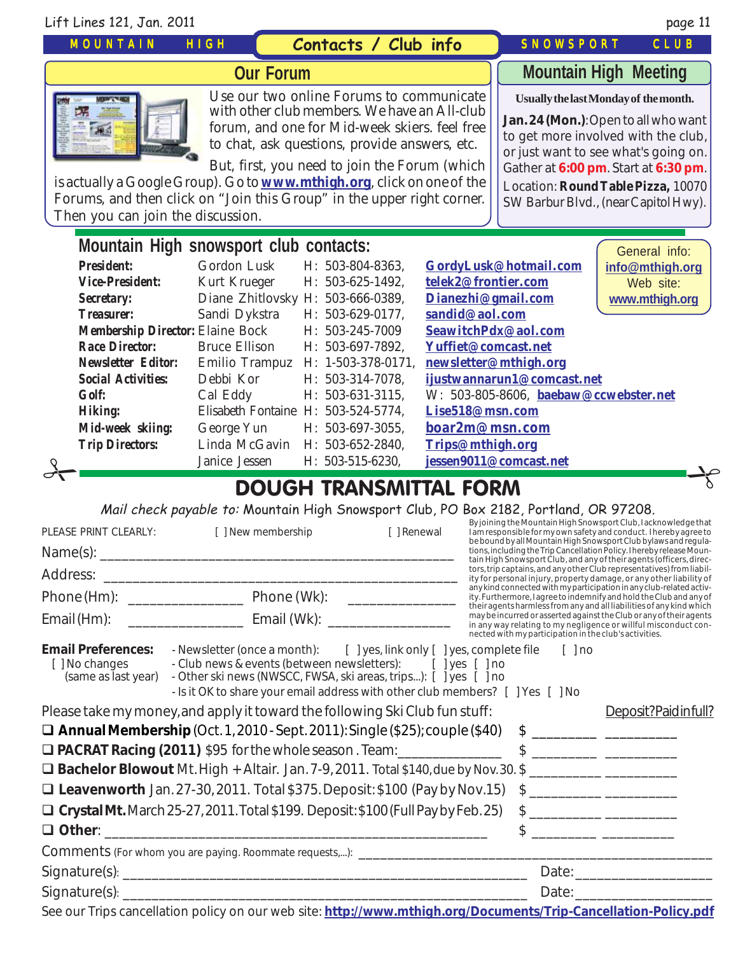| Lift Lines 121, Jan. 2011                                                                                                                                                                                                                                                                                                                                                                                                                                                                                         |                                                                                                                                                                                                                                                                                            |                                                                                                                       |                                                                                                                                    |                                                                                                                                                                                                                                                                                    | page 11                                                                                                                                                                                                                                                                                                                                                                                                                                                                                                                                                                                                                                                                                                                                                                                                                                                                |  |
|-------------------------------------------------------------------------------------------------------------------------------------------------------------------------------------------------------------------------------------------------------------------------------------------------------------------------------------------------------------------------------------------------------------------------------------------------------------------------------------------------------------------|--------------------------------------------------------------------------------------------------------------------------------------------------------------------------------------------------------------------------------------------------------------------------------------------|-----------------------------------------------------------------------------------------------------------------------|------------------------------------------------------------------------------------------------------------------------------------|------------------------------------------------------------------------------------------------------------------------------------------------------------------------------------------------------------------------------------------------------------------------------------|------------------------------------------------------------------------------------------------------------------------------------------------------------------------------------------------------------------------------------------------------------------------------------------------------------------------------------------------------------------------------------------------------------------------------------------------------------------------------------------------------------------------------------------------------------------------------------------------------------------------------------------------------------------------------------------------------------------------------------------------------------------------------------------------------------------------------------------------------------------------|--|
| <b>MOUNTAIN</b>                                                                                                                                                                                                                                                                                                                                                                                                                                                                                                   | HIGH                                                                                                                                                                                                                                                                                       | Contacts / Club info                                                                                                  |                                                                                                                                    | <b>SNOWSPORT</b>                                                                                                                                                                                                                                                                   | CLUB                                                                                                                                                                                                                                                                                                                                                                                                                                                                                                                                                                                                                                                                                                                                                                                                                                                                   |  |
| <b>Our Forum</b>                                                                                                                                                                                                                                                                                                                                                                                                                                                                                                  |                                                                                                                                                                                                                                                                                            |                                                                                                                       |                                                                                                                                    | <b>Mountain High Meeting</b>                                                                                                                                                                                                                                                       |                                                                                                                                                                                                                                                                                                                                                                                                                                                                                                                                                                                                                                                                                                                                                                                                                                                                        |  |
| Use our two online Forums to communicate<br>with other club members. We have an All-club<br>forum, and one for Mid-week skiers. feel free<br>to chat, ask questions, provide answers, etc.<br>But, first, you need to join the Forum (which<br>is actually a Google Group). Go to <b>www.mthigh.org</b> , click on one of the<br>Forums, and then click on "Join this Group" in the upper right corner.<br>Then you can join the discussion.                                                                      |                                                                                                                                                                                                                                                                                            |                                                                                                                       |                                                                                                                                    | Usually the last Monday of the month.<br>Jan. 24 (Mon.): Open to all who want<br>to get more involved with the club,<br>or just want to see what's going on.<br>Gather at 6:00 pm. Start at 6:30 pm.<br>Location: Round Table Pizza, 10070<br>SW Barbur Blvd., (near Capitol Hwy). |                                                                                                                                                                                                                                                                                                                                                                                                                                                                                                                                                                                                                                                                                                                                                                                                                                                                        |  |
| Mountain High snowsport club contacts:                                                                                                                                                                                                                                                                                                                                                                                                                                                                            |                                                                                                                                                                                                                                                                                            |                                                                                                                       |                                                                                                                                    |                                                                                                                                                                                                                                                                                    |                                                                                                                                                                                                                                                                                                                                                                                                                                                                                                                                                                                                                                                                                                                                                                                                                                                                        |  |
| <b>President:</b><br><b>Vice-President:</b><br>Secretary:<br><b>Treasurer:</b><br><b>Membership Director: Elaine Bock</b><br><b>Race Director:</b><br><b>Newsletter Editor:</b>                                                                                                                                                                                                                                                                                                                                   | Gordon Lusk<br>Kurt Krueger<br>Diane Zhitlovsky H: 503-666-0389,<br>Sandi Dykstra<br><b>Bruce Ellison</b><br>Emilio Trampuz                                                                                                                                                                | H: 503-804-8363.<br>H: 503-625-1492,<br>H: 503-629-0177,<br>H: 503-245-7009<br>H: 503-697-7892.<br>H: 1-503-378-0171, | telek2@frontier.com<br>Dianezhi@gmail.com<br>sandid@aol.com<br>SeawitchPdx@aol.com<br>Yuffiet@comcast.net<br>newsletter@mthigh.org | GordyLusk@hotmail.com                                                                                                                                                                                                                                                              | General info:<br>info@mthigh.org<br>Web site:<br>www.mthigh.org                                                                                                                                                                                                                                                                                                                                                                                                                                                                                                                                                                                                                                                                                                                                                                                                        |  |
| <b>Social Activities:</b><br><b>Golf:</b><br><b>Hiking:</b><br>Mid-week skiing:<br><b>Trip Directors:</b>                                                                                                                                                                                                                                                                                                                                                                                                         | Debbi Kor<br>Cal Eddy<br>Elisabeth Fontaine H: 503-524-5774,<br>George Yun<br>Linda McGavin<br>Janice Jessen                                                                                                                                                                               | H: 503-314-7078,<br>H: 503-631-3115,<br>H: 503-697-3055,<br>H: 503-652-2840,<br>H: 503-515-6230,                      | Lise518@msn.com<br>boar2m@msn.com<br>Trips@mthigh.org                                                                              | ijustwannarun1@comcast.net<br>W: 503-805-8606, baebaw@ccwebster.net<br>jessen9011@comcast.net                                                                                                                                                                                      |                                                                                                                                                                                                                                                                                                                                                                                                                                                                                                                                                                                                                                                                                                                                                                                                                                                                        |  |
|                                                                                                                                                                                                                                                                                                                                                                                                                                                                                                                   |                                                                                                                                                                                                                                                                                            | <b>DOUGH TRANSMITTAL FORM</b>                                                                                         |                                                                                                                                    |                                                                                                                                                                                                                                                                                    |                                                                                                                                                                                                                                                                                                                                                                                                                                                                                                                                                                                                                                                                                                                                                                                                                                                                        |  |
| PLEASE PRINT CLEARLY:<br>Email (Hm): ___________________________________ Email (Wk): ____________________                                                                                                                                                                                                                                                                                                                                                                                                         | Mail check payable to: Mountain High Snowsport Club, PO Box 2182, Portland, OR 97208.<br>[ ] New membership                                                                                                                                                                                | [ ] Renewal                                                                                                           |                                                                                                                                    | nected with my participation in the club's activities.                                                                                                                                                                                                                             | By joining the Mountain High Snowsport Club, lacknowledge that<br>I am responsible for my own safety and conduct. I hereby agree to<br>be bound by all Mountain High Snowsport Club bylaws and regula-<br>tions, including the Trip Cancellation Policy. I hereby release Moun-<br>tain High Snowsport Club, and any of their agents (officers, direc-<br>tors, trip captains, and any other Club representatives) from liabil-<br>ity for personal injury, property damage, or any other liability of<br>any kind connected with my participation in any club-related activ-<br>ity. Furthermore, I agree to indemnify and hold the Club and any of<br>their agents harmless from any and all liabilities of any kind which<br>may be incurred or asserted against the Club or any of their agents<br>in any way relating to my negligence or willful misconduct con- |  |
| <b>Email Preferences:</b><br>[ ] No changes<br>(same as last year)                                                                                                                                                                                                                                                                                                                                                                                                                                                | - Newsletter (once a month): [ ] yes, link only [ ] yes, complete file<br>- Club news & events (between newsletters): [ ] yes [ ] no<br>- Other ski news (NWSCC, FWSA, ski areas, trips): [ ] yes [ ] no<br>- Is it OK to share your email address with other club members? [ ] Yes [ ] No |                                                                                                                       |                                                                                                                                    | $[$ $]$ no                                                                                                                                                                                                                                                                         |                                                                                                                                                                                                                                                                                                                                                                                                                                                                                                                                                                                                                                                                                                                                                                                                                                                                        |  |
| Please take my money, and apply it toward the following Ski Club fun stuff:<br>$\Box$ Annual Membership (Oct. 1, 2010 - Sept. 2011): Single (\$25); couple (\$40)<br>D PACRAT Racing (2011) \$95 for the whole season. Team: ________________<br><b>Q Bachelor Blowout</b> Mt. High + Altair. Jan. 7-9, 2011. Total \$140, due by Nov. 30. \$<br>Leavenworth Jan. 27-30, 2011. Total \$375. Deposit: \$100 (Pay by Nov. 15)<br>□ Crystal Mt. March 25-27, 2011. Total \$199. Deposit: \$100 (Full Pay by Feb. 25) |                                                                                                                                                                                                                                                                                            |                                                                                                                       |                                                                                                                                    | $\frac{1}{2}$                                                                                                                                                                                                                                                                      | Deposit?Paidinfull?<br>$\frac{1}{2}$                                                                                                                                                                                                                                                                                                                                                                                                                                                                                                                                                                                                                                                                                                                                                                                                                                   |  |
|                                                                                                                                                                                                                                                                                                                                                                                                                                                                                                                   |                                                                                                                                                                                                                                                                                            |                                                                                                                       |                                                                                                                                    |                                                                                                                                                                                                                                                                                    |                                                                                                                                                                                                                                                                                                                                                                                                                                                                                                                                                                                                                                                                                                                                                                                                                                                                        |  |
|                                                                                                                                                                                                                                                                                                                                                                                                                                                                                                                   |                                                                                                                                                                                                                                                                                            |                                                                                                                       |                                                                                                                                    |                                                                                                                                                                                                                                                                                    |                                                                                                                                                                                                                                                                                                                                                                                                                                                                                                                                                                                                                                                                                                                                                                                                                                                                        |  |
| See our Trips cancellation policy on our web site: http://www.mthigh.org/Documents/Trip-Cancellation-Policy.pdf                                                                                                                                                                                                                                                                                                                                                                                                   |                                                                                                                                                                                                                                                                                            |                                                                                                                       |                                                                                                                                    |                                                                                                                                                                                                                                                                                    |                                                                                                                                                                                                                                                                                                                                                                                                                                                                                                                                                                                                                                                                                                                                                                                                                                                                        |  |